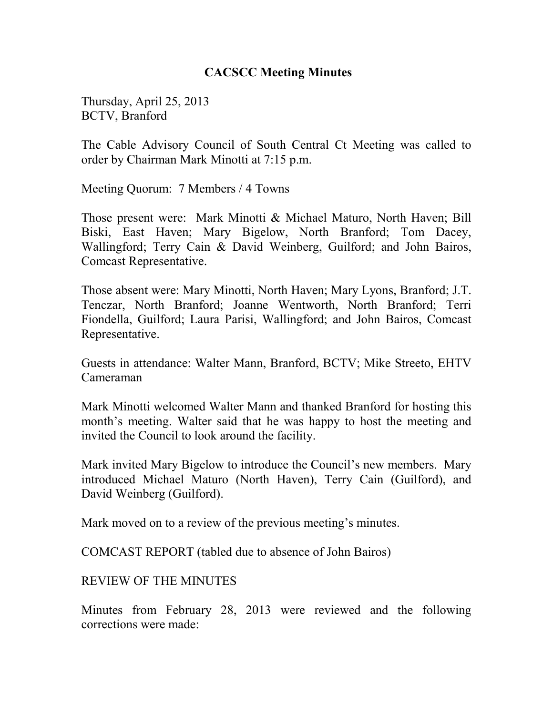## **CACSCC Meeting Minutes**

Thursday, April 25, 2013 BCTV, Branford

The Cable Advisory Council of South Central Ct Meeting was called to order by Chairman Mark Minotti at 7:15 p.m.

Meeting Quorum: 7 Members / 4 Towns

Those present were: Mark Minotti & Michael Maturo, North Haven; Bill Biski, East Haven; Mary Bigelow, North Branford; Tom Dacey, Wallingford; Terry Cain & David Weinberg, Guilford; and John Bairos, Comcast Representative.

Those absent were: Mary Minotti, North Haven; Mary Lyons, Branford; J.T. Tenczar, North Branford; Joanne Wentworth, North Branford; Terri Fiondella, Guilford; Laura Parisi, Wallingford; and John Bairos, Comcast Representative.

Guests in attendance: Walter Mann, Branford, BCTV; Mike Streeto, EHTV Cameraman

Mark Minotti welcomed Walter Mann and thanked Branford for hosting this month's meeting. Walter said that he was happy to host the meeting and invited the Council to look around the facility.

Mark invited Mary Bigelow to introduce the Council's new members. Mary introduced Michael Maturo (North Haven), Terry Cain (Guilford), and David Weinberg (Guilford).

Mark moved on to a review of the previous meeting's minutes.

COMCAST REPORT (tabled due to absence of John Bairos)

REVIEW OF THE MINUTES

Minutes from February 28, 2013 were reviewed and the following corrections were made: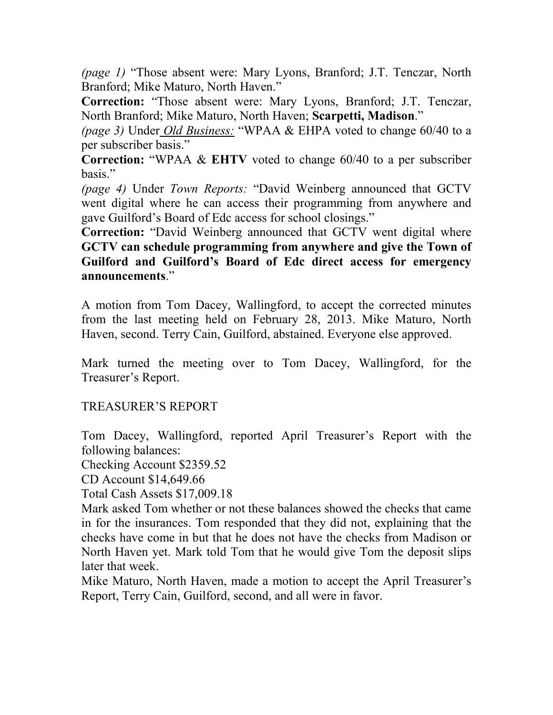*(page 1)* "Those absent were: Mary Lyons, Branford; J.T. Tenczar, North Branford; Mike Maturo, North Haven."

**Correction:** "Those absent were: Mary Lyons, Branford; J.T. Tenczar, North Branford; Mike Maturo, North Haven; **Scarpetti, Madison**."

*(page 3)* Under *Old Business:* "WPAA & EHPA voted to change 60/40 to a per subscriber basis."

**Correction:** "WPAA & **EHTV** voted to change 60/40 to a per subscriber basis."

*(page 4)* Under *Town Reports:* "David Weinberg announced that GCTV went digital where he can access their programming from anywhere and gave Guilford's Board of Edc access for school closings."

**Correction:** "David Weinberg announced that GCTV went digital where **GCTV can schedule programming from anywhere and give the Town of Guilford and Guilford's Board of Edc direct access for emergency announcements**."

A motion from Tom Dacey, Wallingford, to accept the corrected minutes from the last meeting held on February 28, 2013. Mike Maturo, North Haven, second. Terry Cain, Guilford, abstained. Everyone else approved.

Mark turned the meeting over to Tom Dacey, Wallingford, for the Treasurer's Report.

## TREASURER'S REPORT

Tom Dacey, Wallingford, reported April Treasurer's Report with the following balances:

Checking Account \$2359.52

CD Account \$14,649.66

Total Cash Assets \$17,009.18

Mark asked Tom whether or not these balances showed the checks that came in for the insurances. Tom responded that they did not, explaining that the checks have come in but that he does not have the checks from Madison or North Haven yet. Mark told Tom that he would give Tom the deposit slips later that week.

Mike Maturo, North Haven, made a motion to accept the April Treasurer's Report, Terry Cain, Guilford, second, and all were in favor.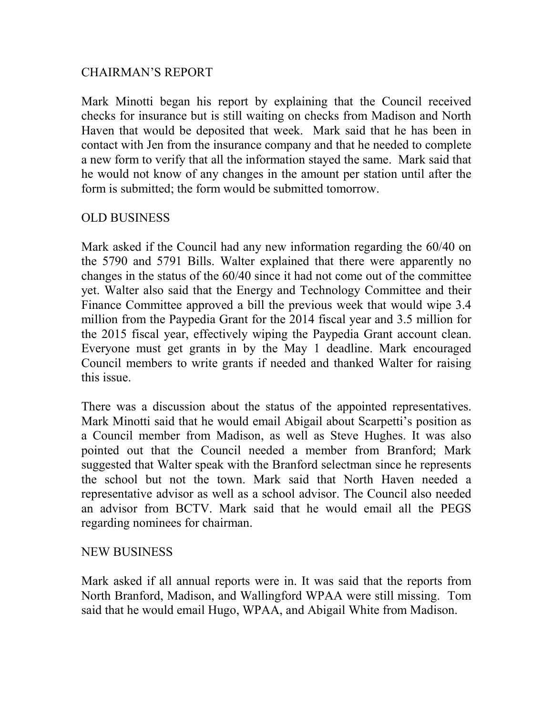## CHAIRMAN'S REPORT

Mark Minotti began his report by explaining that the Council received checks for insurance but is still waiting on checks from Madison and North Haven that would be deposited that week. Mark said that he has been in contact with Jen from the insurance company and that he needed to complete a new form to verify that all the information stayed the same. Mark said that he would not know of any changes in the amount per station until after the form is submitted; the form would be submitted tomorrow.

# OLD BUSINESS

Mark asked if the Council had any new information regarding the 60/40 on the 5790 and 5791 Bills. Walter explained that there were apparently no changes in the status of the 60/40 since it had not come out of the committee yet. Walter also said that the Energy and Technology Committee and their Finance Committee approved a bill the previous week that would wipe 3.4 million from the Paypedia Grant for the 2014 fiscal year and 3.5 million for the 2015 fiscal year, effectively wiping the Paypedia Grant account clean. Everyone must get grants in by the May 1 deadline. Mark encouraged Council members to write grants if needed and thanked Walter for raising this issue.

There was a discussion about the status of the appointed representatives. Mark Minotti said that he would email Abigail about Scarpetti's position as a Council member from Madison, as well as Steve Hughes. It was also pointed out that the Council needed a member from Branford; Mark suggested that Walter speak with the Branford selectman since he represents the school but not the town. Mark said that North Haven needed a representative advisor as well as a school advisor. The Council also needed an advisor from BCTV. Mark said that he would email all the PEGS regarding nominees for chairman.

## NEW BUSINESS

Mark asked if all annual reports were in. It was said that the reports from North Branford, Madison, and Wallingford WPAA were still missing. Tom said that he would email Hugo, WPAA, and Abigail White from Madison.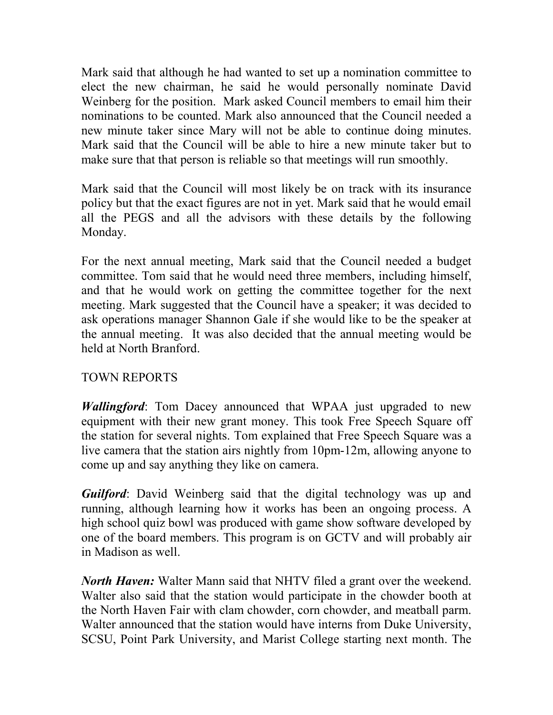Mark said that although he had wanted to set up a nomination committee to elect the new chairman, he said he would personally nominate David Weinberg for the position. Mark asked Council members to email him their nominations to be counted. Mark also announced that the Council needed a new minute taker since Mary will not be able to continue doing minutes. Mark said that the Council will be able to hire a new minute taker but to make sure that that person is reliable so that meetings will run smoothly.

Mark said that the Council will most likely be on track with its insurance policy but that the exact figures are not in yet. Mark said that he would email all the PEGS and all the advisors with these details by the following Monday.

For the next annual meeting, Mark said that the Council needed a budget committee. Tom said that he would need three members, including himself, and that he would work on getting the committee together for the next meeting. Mark suggested that the Council have a speaker; it was decided to ask operations manager Shannon Gale if she would like to be the speaker at the annual meeting. It was also decided that the annual meeting would be held at North Branford.

# TOWN REPORTS

*Wallingford*: Tom Dacey announced that WPAA just upgraded to new equipment with their new grant money. This took Free Speech Square off the station for several nights. Tom explained that Free Speech Square was a live camera that the station airs nightly from 10pm-12m, allowing anyone to come up and say anything they like on camera.

*Guilford*: David Weinberg said that the digital technology was up and running, although learning how it works has been an ongoing process. A high school quiz bowl was produced with game show software developed by one of the board members. This program is on GCTV and will probably air in Madison as well.

*North Haven:* Walter Mann said that NHTV filed a grant over the weekend. Walter also said that the station would participate in the chowder booth at the North Haven Fair with clam chowder, corn chowder, and meatball parm. Walter announced that the station would have interns from Duke University, SCSU, Point Park University, and Marist College starting next month. The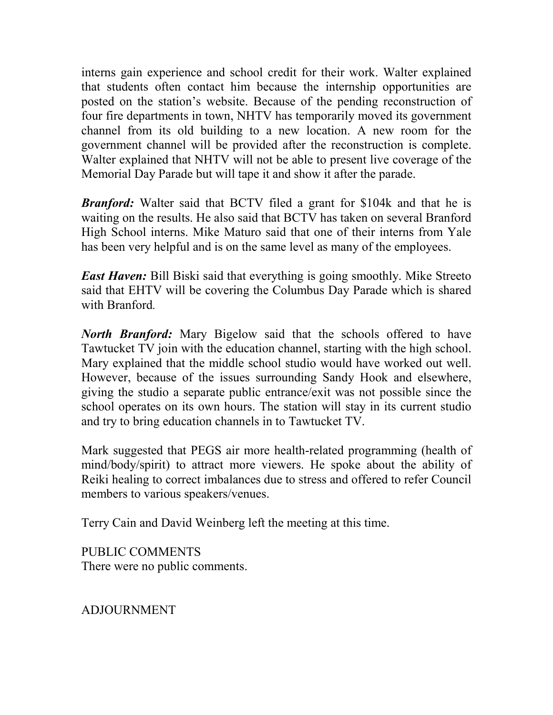interns gain experience and school credit for their work. Walter explained that students often contact him because the internship opportunities are posted on the station's website. Because of the pending reconstruction of four fire departments in town, NHTV has temporarily moved its government channel from its old building to a new location. A new room for the government channel will be provided after the reconstruction is complete. Walter explained that NHTV will not be able to present live coverage of the Memorial Day Parade but will tape it and show it after the parade.

*Branford:* Walter said that BCTV filed a grant for \$104k and that he is waiting on the results. He also said that BCTV has taken on several Branford High School interns. Mike Maturo said that one of their interns from Yale has been very helpful and is on the same level as many of the employees.

*East Haven:* Bill Biski said that everything is going smoothly. Mike Streeto said that EHTV will be covering the Columbus Day Parade which is shared with Branford*.* 

*North Branford:* Mary Bigelow said that the schools offered to have Tawtucket TV join with the education channel, starting with the high school. Mary explained that the middle school studio would have worked out well. However, because of the issues surrounding Sandy Hook and elsewhere, giving the studio a separate public entrance/exit was not possible since the school operates on its own hours. The station will stay in its current studio and try to bring education channels in to Tawtucket TV.

Mark suggested that PEGS air more health-related programming (health of mind/body/spirit) to attract more viewers. He spoke about the ability of Reiki healing to correct imbalances due to stress and offered to refer Council members to various speakers/venues.

Terry Cain and David Weinberg left the meeting at this time.

PUBLIC COMMENTS There were no public comments.

ADJOURNMENT